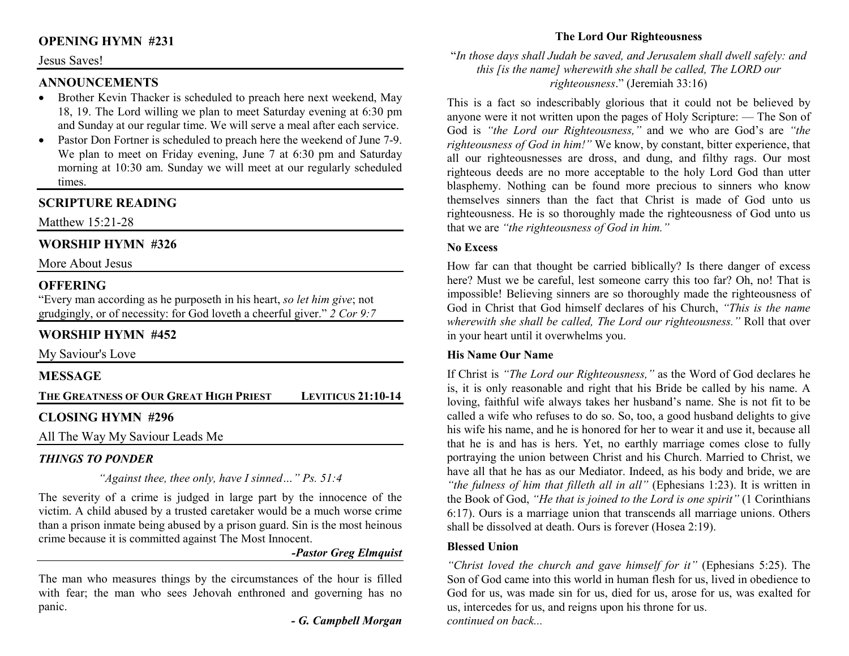## **OPENING HYMN #231**

#### Jesus Saves!

### **ANNOUNCEMENTS**

- Brother Kevin Thacker is scheduled to preach here next weekend, May 18, 19. The Lord willing we plan to meet Saturday evening at 6:30 pm and Sunday at our regular time. We will serve a meal after each service.
- Pastor Don Fortner is scheduled to preach here the weekend of June 7-9. •We plan to meet on Friday evening, June 7 at 6:30 pm and Saturday morning at 10:30 am. Sunday we will meet at our regularly scheduled times.

# **SCRIPTURE READING**

Matthew 15:21-28

# **WORSHIP HYMN #326**

More About Jesus

## **OFFERING**

 "Every man according as he purposeth in his heart, *so let him give*; not grudgingly, or of necessity: for God loveth a cheerful giver." *2 Cor 9:7*

## **WORSHIP HYMN #452**

My Saviour's Love

### **MESSAGE**

| THE GREATNESS OF OUR GREAT HIGH PRIEST | <b>LEVITICUS 21:10-14</b> |
|----------------------------------------|---------------------------|
| CI OSINC HVMN #206                     |                           |

## **CLOSING HYMN #296**

All The Way My Saviour Leads Me

# *THINGS TO PONDER*

*"Against thee, thee only, have I sinned…" Ps. 51:4* 

The severity of a crime is judged in large part by the innocence of the victim. A child abused by a trusted caretaker would be a much worse crime than a prison inmate being abused by a prison guard. Sin is the most heinous crime because it is committed against The Most Innocent.

*-Pastor Greg Elmquist* 

The man who measures things by the circumstances of the hour is filled with fear; the man who sees Jehovah enthroned and governing has no panic.

*- G. Campbell Morgan*

# **The Lord Our Righteousness**

### "*In those days shall Judah be saved, and Jerusalem shall dwell safely: and this [is the name] wherewith she shall be called, The LORD our righteousness*." (Jeremiah 33:16)

This is a fact so indescribably glorious that it could not be believed by anyone were it not written upon the pages of Holy Scripture: — The Son of God is *"the Lord our Righteousness,"* and we who are God's are *"the righteousness of God in him!"* We know, by constant, bitter experience, that all our righteousnesses are dross, and dung, and filthy rags. Our most righteous deeds are no more acceptable to the holy Lord God than utter blasphemy. Nothing can be found more precious to sinners who know themselves sinners than the fact that Christ is made of God unto us righteousness. He is so thoroughly made the righteousness of God unto us that we are *"the righteousness of God in him."*

### **No Excess**

How far can that thought be carried biblically? Is there danger of excess here? Must we be careful, lest someone carry this too far? Oh, no! That is impossible! Believing sinners are so thoroughly made the righteousness of God in Christ that God himself declares of his Church, *"This is the name wherewith she shall be called, The Lord our righteousness."* Roll that over in your heart until it overwhelms you.

### **His Name Our Name**

If Christ is *"The Lord our Righteousness,"* as the Word of God declares he is, it is only reasonable and right that his Bride be called by his name. A loving, faithful wife always takes her husband's name. She is not fit to be called a wife who refuses to do so. So, too, a good husband delights to give his wife his name, and he is honored for her to wear it and use it, because all that he is and has is hers. Yet, no earthly marriage comes close to fully portraying the union between Christ and his Church. Married to Christ, we have all that he has as our Mediator. Indeed, as his body and bride, we are *"the fulness of him that filleth all in all"* (Ephesians 1:23). It is written in the Book of God, *"He that is joined to the Lord is one spirit"* (1 Corinthians 6:17). Ours is a marriage union that transcends all marriage unions. Others shall be dissolved at death. Ours is forever (Hosea 2:19).

### **Blessed Union**

*"Christ loved the church and gave himself for it"* (Ephesians 5:25). The Son of God came into this world in human flesh for us, lived in obedience to God for us, was made sin for us, died for us, arose for us, was exalted for us, intercedes for us, and reigns upon his throne for us. *continued on back...*